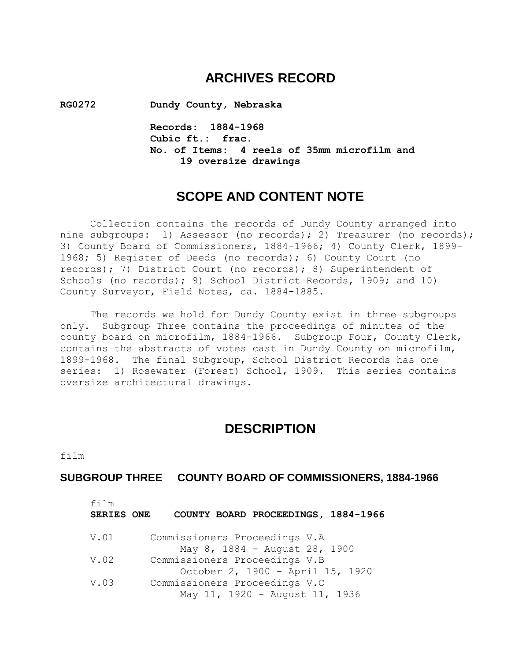# **ARCHIVES RECORD**

**RG0272 Dundy County, Nebraska**

**Records: 1884-1968 Cubic ft.: frac. No. of Items: 4 reels of 35mm microfilm and 19 oversize drawings**

# **SCOPE AND CONTENT NOTE**

Collection contains the records of Dundy County arranged into nine subgroups: 1) Assessor (no records); 2) Treasurer (no records); 3) County Board of Commissioners, 1884-1966; 4) County Clerk, 1899- 1968; 5) Register of Deeds (no records); 6) County Court (no records); 7) District Court (no records); 8) Superintendent of Schools (no records); 9) School District Records, 1909; and 10) County Surveyor, Field Notes, ca. 1884-1885.

The records we hold for Dundy County exist in three subgroups only. Subgroup Three contains the proceedings of minutes of the county board on microfilm, 1884-1966. Subgroup Four, County Clerk, contains the abstracts of votes cast in Dundy County on microfilm, 1899-1968. The final Subgroup, School District Records has one series: 1) Rosewater (Forest) School, 1909. This series contains oversize architectural drawings.

## **DESCRIPTION**

film

#### **SUBGROUP THREE COUNTY BOARD OF COMMISSIONERS, 1884-1966**

| film<br><b>SERIES ONE</b> | COUNTY BOARD PROCEEDINGS, 1884-1966                                                                 |
|---------------------------|-----------------------------------------------------------------------------------------------------|
| V.01                      | Commissioners Proceedings V.A                                                                       |
| V.02                      | May 8, 1884 - August 28, 1900<br>Commissioners Proceedings V.B                                      |
| V.03                      | October 2, 1900 - April 15, 1920<br>Commissioners Proceedings V.C<br>May 11, 1920 - August 11, 1936 |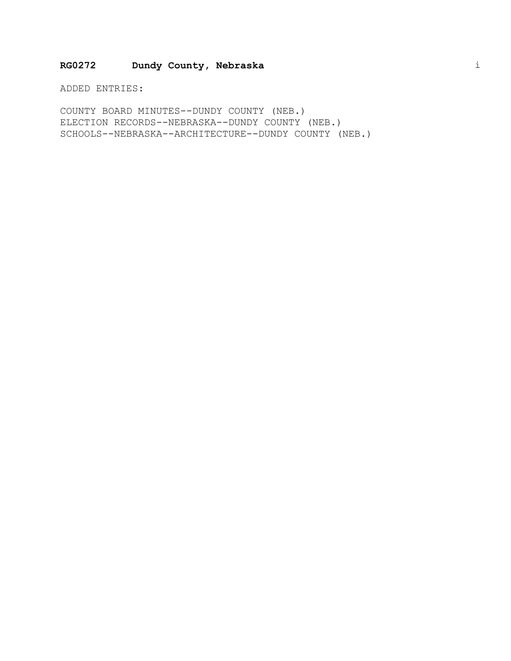#### **RG0272 Dundy County, Nebraska** i

ADDED ENTRIES:

COUNTY BOARD MINUTES--DUNDY COUNTY (NEB.) ELECTION RECORDS--NEBRASKA--DUNDY COUNTY (NEB.) SCHOOLS--NEBRASKA--ARCHITECTURE--DUNDY COUNTY (NEB.)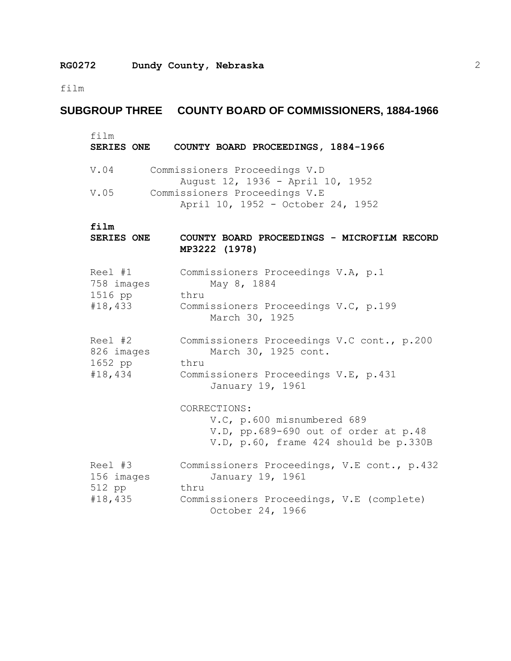film

# **SUBGROUP THREE COUNTY BOARD OF COMMISSIONERS, 1884-1966**

| film<br>SERIES ONE                          | COUNTY BOARD PROCEEDINGS, 1884-1966                                                                                                      |
|---------------------------------------------|------------------------------------------------------------------------------------------------------------------------------------------|
| V.04                                        | Commissioners Proceedings V.D<br>August 12, 1936 - April 10, 1952                                                                        |
| V.05                                        | Commissioners Proceedings V.E<br>April 10, 1952 - October 24, 1952                                                                       |
| film<br><b>SERIES ONE</b>                   | COUNTY BOARD PROCEEDINGS - MICROFILM RECORD<br>MP3222 (1978)                                                                             |
| Reel #1<br>758 images<br>1516 pp<br>#18,433 | Commissioners Proceedings V.A, p.1<br>May 8, 1884<br>thru<br>Commissioners Proceedings V.C, p.199<br>March 30, 1925                      |
| Reel #2<br>826 images<br>1652 pp<br>#18,434 | Commissioners Proceedings V.C cont., p.200<br>March 30, 1925 cont.<br>thru<br>Commissioners Proceedings V.E, p.431<br>January 19, 1961   |
|                                             | CORRECTIONS:<br>V.C, p.600 misnumbered 689<br>V.D, pp.689-690 out of order at p.48<br>V.D, p.60, frame 424 should be p.330B              |
| Reel #3<br>156 images<br>512 pp<br>#18,435  | Commissioners Proceedings, V.E cont., p.432<br>January 19, 1961<br>thru<br>Commissioners Proceedings, V.E (complete)<br>October 24, 1966 |